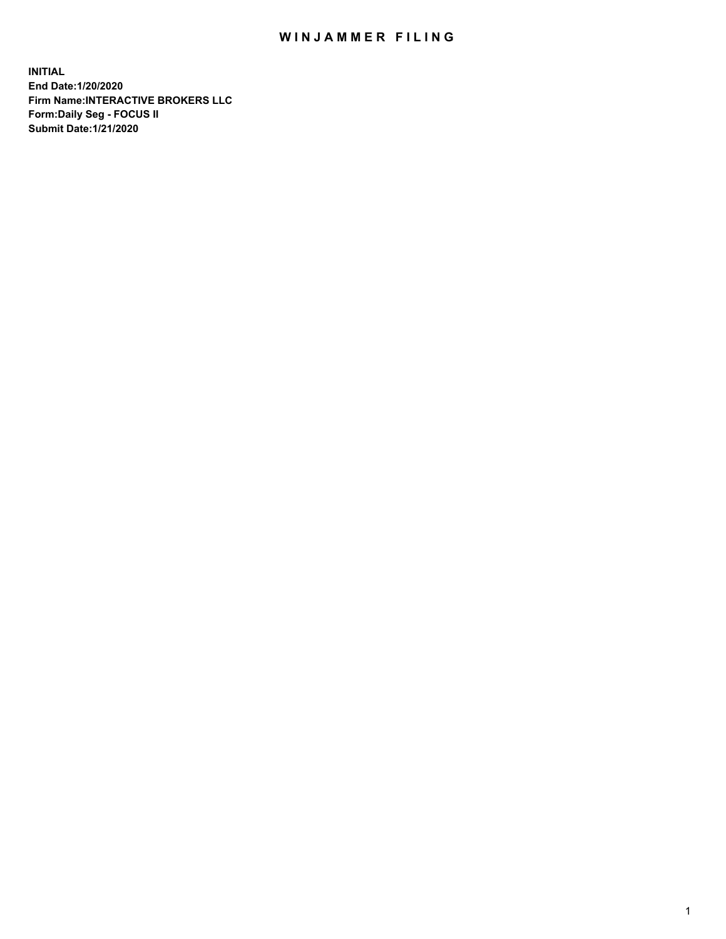## WIN JAMMER FILING

**INITIAL End Date:1/20/2020 Firm Name:INTERACTIVE BROKERS LLC Form:Daily Seg - FOCUS II Submit Date:1/21/2020**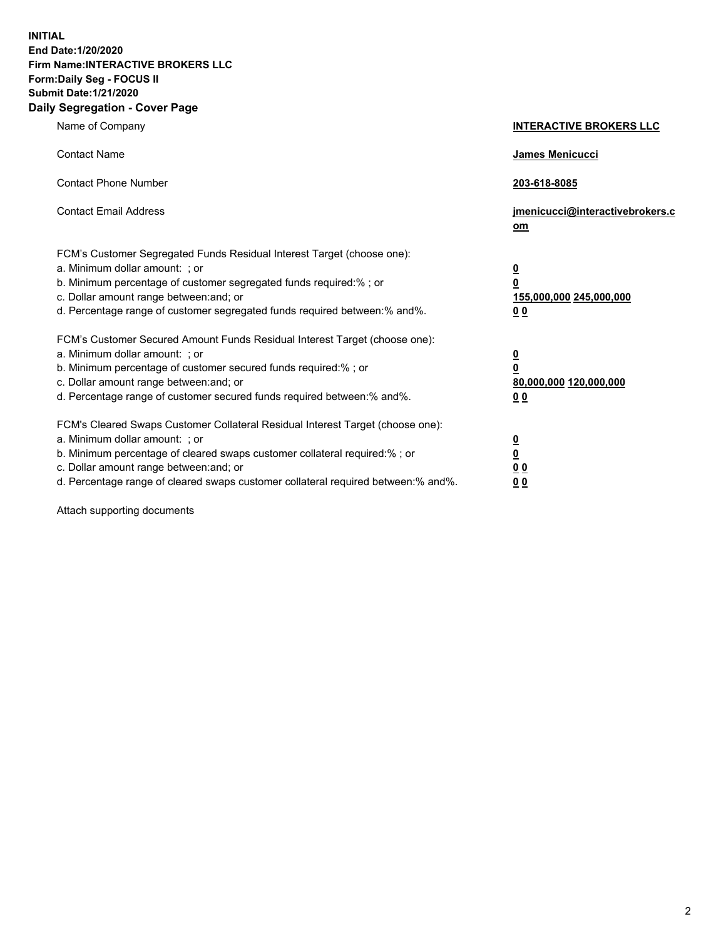**INITIAL End Date:1/20/2020 Firm Name:INTERACTIVE BROKERS LLC Form:Daily Seg - FOCUS II Submit Date:1/21/2020 Daily Segregation - Cover Page**

| Name of Company                                                                                                                                                                                                                                                                                                                | <b>INTERACTIVE BROKERS LLC</b>                                                  |
|--------------------------------------------------------------------------------------------------------------------------------------------------------------------------------------------------------------------------------------------------------------------------------------------------------------------------------|---------------------------------------------------------------------------------|
| <b>Contact Name</b>                                                                                                                                                                                                                                                                                                            | <b>James Menicucci</b>                                                          |
| <b>Contact Phone Number</b>                                                                                                                                                                                                                                                                                                    | 203-618-8085                                                                    |
| <b>Contact Email Address</b>                                                                                                                                                                                                                                                                                                   | jmenicucci@interactivebrokers.c<br>om                                           |
| FCM's Customer Segregated Funds Residual Interest Target (choose one):<br>a. Minimum dollar amount: ; or<br>b. Minimum percentage of customer segregated funds required:% ; or<br>c. Dollar amount range between: and; or<br>d. Percentage range of customer segregated funds required between:% and%.                         | $\overline{\mathbf{0}}$<br>0<br>155,000,000 245,000,000<br>0 <sub>0</sub>       |
| FCM's Customer Secured Amount Funds Residual Interest Target (choose one):<br>a. Minimum dollar amount: ; or<br>b. Minimum percentage of customer secured funds required:%; or<br>c. Dollar amount range between: and; or<br>d. Percentage range of customer secured funds required between:% and%.                            | <u>0</u><br>$\overline{\mathbf{0}}$<br>80,000,000 120,000,000<br>0 <sub>0</sub> |
| FCM's Cleared Swaps Customer Collateral Residual Interest Target (choose one):<br>a. Minimum dollar amount: ; or<br>b. Minimum percentage of cleared swaps customer collateral required:% ; or<br>c. Dollar amount range between: and; or<br>d. Percentage range of cleared swaps customer collateral required between:% and%. | $\overline{\mathbf{0}}$<br>$\underline{\mathbf{0}}$<br>0 <sub>0</sub><br>00     |

Attach supporting documents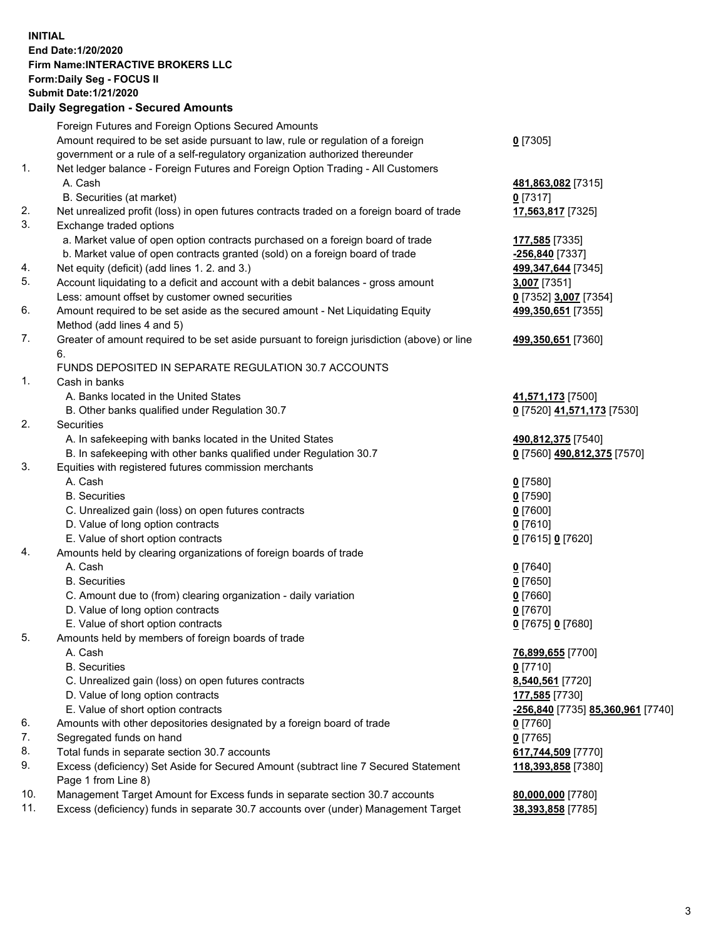**INITIAL End Date:1/20/2020 Firm Name:INTERACTIVE BROKERS LLC Form:Daily Seg - FOCUS II Submit Date:1/21/2020 Daily Segregation - Secured Amounts**

|     | Foreign Futures and Foreign Options Secured Amounts                                         |                                   |
|-----|---------------------------------------------------------------------------------------------|-----------------------------------|
|     | Amount required to be set aside pursuant to law, rule or regulation of a foreign            | $0$ [7305]                        |
|     | government or a rule of a self-regulatory organization authorized thereunder                |                                   |
| 1.  | Net ledger balance - Foreign Futures and Foreign Option Trading - All Customers             |                                   |
|     | A. Cash                                                                                     | 481,863,082 [7315]                |
|     | B. Securities (at market)                                                                   | $0$ [7317]                        |
| 2.  | Net unrealized profit (loss) in open futures contracts traded on a foreign board of trade   | 17,563,817 [7325]                 |
| 3.  | Exchange traded options                                                                     |                                   |
|     | a. Market value of open option contracts purchased on a foreign board of trade              | 177,585 [7335]                    |
|     | b. Market value of open contracts granted (sold) on a foreign board of trade                | -256,840 [7337]                   |
| 4.  | Net equity (deficit) (add lines 1. 2. and 3.)                                               | 499, 347, 644 [7345]              |
| 5.  | Account liquidating to a deficit and account with a debit balances - gross amount           | 3,007 [7351]                      |
|     | Less: amount offset by customer owned securities                                            | 0 [7352] 3,007 [7354]             |
| 6.  | Amount required to be set aside as the secured amount - Net Liquidating Equity              | 499,350,651 [7355]                |
|     | Method (add lines 4 and 5)                                                                  |                                   |
| 7.  | Greater of amount required to be set aside pursuant to foreign jurisdiction (above) or line | 499,350,651 [7360]                |
|     | 6.                                                                                          |                                   |
|     | FUNDS DEPOSITED IN SEPARATE REGULATION 30.7 ACCOUNTS                                        |                                   |
| 1.  | Cash in banks                                                                               |                                   |
|     | A. Banks located in the United States                                                       | 41,571,173 [7500]                 |
|     | B. Other banks qualified under Regulation 30.7                                              | 0 [7520] 41,571,173 [7530]        |
| 2.  | <b>Securities</b>                                                                           |                                   |
|     | A. In safekeeping with banks located in the United States                                   | 490,812,375 [7540]                |
|     | B. In safekeeping with other banks qualified under Regulation 30.7                          | 0 [7560] 490,812,375 [7570]       |
| 3.  | Equities with registered futures commission merchants                                       |                                   |
|     | A. Cash                                                                                     | $0$ [7580]                        |
|     | <b>B.</b> Securities                                                                        | $0$ [7590]                        |
|     | C. Unrealized gain (loss) on open futures contracts                                         | $0$ [7600]                        |
|     | D. Value of long option contracts                                                           | $0$ [7610]                        |
|     | E. Value of short option contracts                                                          | 0 [7615] 0 [7620]                 |
| 4.  | Amounts held by clearing organizations of foreign boards of trade                           |                                   |
|     | A. Cash                                                                                     | $0$ [7640]                        |
|     | <b>B.</b> Securities                                                                        | $0$ [7650]                        |
|     | C. Amount due to (from) clearing organization - daily variation                             | $0$ [7660]                        |
|     | D. Value of long option contracts                                                           | $0$ [7670]                        |
|     | E. Value of short option contracts                                                          | 0 [7675] 0 [7680]                 |
| 5.  | Amounts held by members of foreign boards of trade                                          |                                   |
|     | A. Cash                                                                                     | 76,899,655 [7700]                 |
|     | <b>B.</b> Securities                                                                        | $0$ [7710]                        |
|     | C. Unrealized gain (loss) on open futures contracts                                         | 8,540,561 [7720]                  |
|     | D. Value of long option contracts                                                           | 177,585 [7730]                    |
|     | E. Value of short option contracts                                                          | -256,840 [7735] 85,360,961 [7740] |
| 6.  | Amounts with other depositories designated by a foreign board of trade                      | 0 [7760]                          |
| 7.  | Segregated funds on hand                                                                    | $0$ [7765]                        |
| 8.  | Total funds in separate section 30.7 accounts                                               | 617,744,509 [7770]                |
| 9.  | Excess (deficiency) Set Aside for Secured Amount (subtract line 7 Secured Statement         | 118,393,858 [7380]                |
|     | Page 1 from Line 8)                                                                         |                                   |
| 10. | Management Target Amount for Excess funds in separate section 30.7 accounts                 | 80,000,000 [7780]                 |
| 11. | Excess (deficiency) funds in separate 30.7 accounts over (under) Management Target          | 38,393,858 [7785]                 |
|     |                                                                                             |                                   |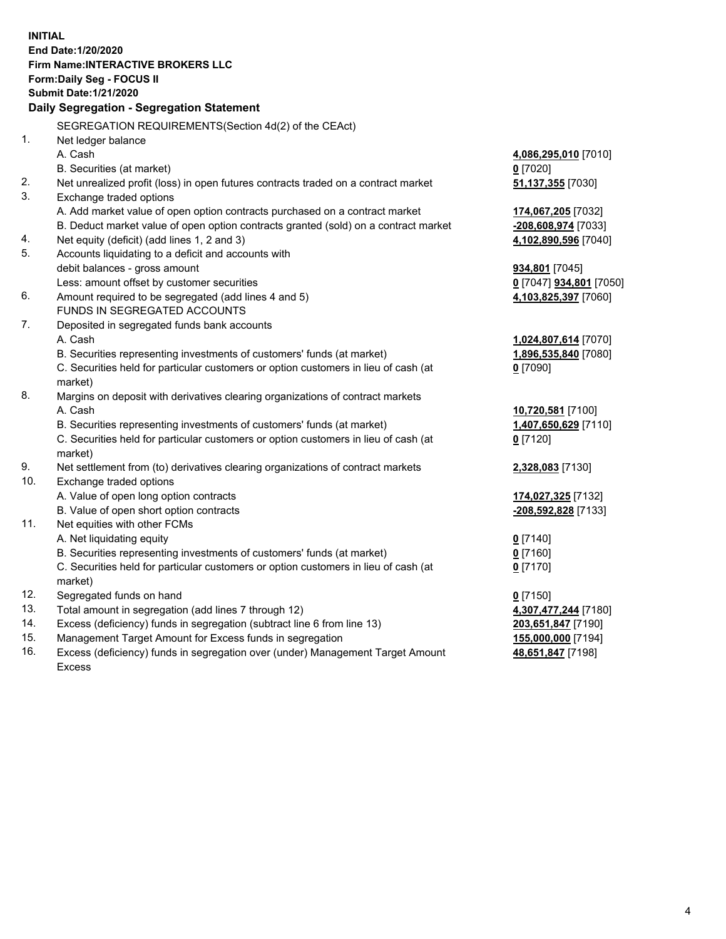**INITIAL End Date:1/20/2020 Firm Name:INTERACTIVE BROKERS LLC Form:Daily Seg - FOCUS II Submit Date:1/21/2020 Daily Segregation - Segregation Statement** SEGREGATION REQUIREMENTS(Section 4d(2) of the CEAct) 1. Net ledger balance A. Cash **4,086,295,010** [7010] B. Securities (at market) **0** [7020] 2. Net unrealized profit (loss) in open futures contracts traded on a contract market **51,137,355** [7030] 3. Exchange traded options A. Add market value of open option contracts purchased on a contract market **174,067,205** [7032] B. Deduct market value of open option contracts granted (sold) on a contract market **-208,608,974** [7033] 4. Net equity (deficit) (add lines 1, 2 and 3) **4,102,890,596** [7040] 5. Accounts liquidating to a deficit and accounts with debit balances - gross amount **934,801** [7045] Less: amount offset by customer securities **0** [7047] **934,801** [7050] 6. Amount required to be segregated (add lines 4 and 5) **4,103,825,397** [7060] FUNDS IN SEGREGATED ACCOUNTS 7. Deposited in segregated funds bank accounts A. Cash **1,024,807,614** [7070] B. Securities representing investments of customers' funds (at market) **1,896,535,840** [7080] C. Securities held for particular customers or option customers in lieu of cash (at market) **0** [7090] 8. Margins on deposit with derivatives clearing organizations of contract markets A. Cash **10,720,581** [7100] B. Securities representing investments of customers' funds (at market) **1,407,650,629** [7110] C. Securities held for particular customers or option customers in lieu of cash (at market) **0** [7120] 9. Net settlement from (to) derivatives clearing organizations of contract markets **2,328,083** [7130] 10. Exchange traded options A. Value of open long option contracts **174,027,325** [7132] B. Value of open short option contracts **-208,592,828** [7133] 11. Net equities with other FCMs A. Net liquidating equity **0** [7140] B. Securities representing investments of customers' funds (at market) **0** [7160] C. Securities held for particular customers or option customers in lieu of cash (at market) **0** [7170] 12. Segregated funds on hand **0** [7150] 13. Total amount in segregation (add lines 7 through 12) **4,307,477,244** [7180] 14. Excess (deficiency) funds in segregation (subtract line 6 from line 13) **203,651,847** [7190] 15. Management Target Amount for Excess funds in segregation **155,000,000** [7194]

16. Excess (deficiency) funds in segregation over (under) Management Target Amount Excess

**48,651,847** [7198]